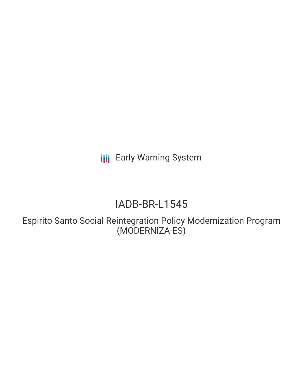**III** Early Warning System

## IADB-BR-L1545

Espirito Santo Social Reintegration Policy Modernization Program (MODERNIZA-ES)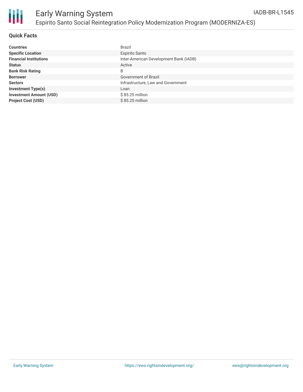

#### **Quick Facts**

| <b>Countries</b>               | <b>Brazil</b>                          |
|--------------------------------|----------------------------------------|
| <b>Specific Location</b>       | <b>Espirito Santo</b>                  |
| <b>Financial Institutions</b>  | Inter-American Development Bank (IADB) |
| <b>Status</b>                  | Active                                 |
| <b>Bank Risk Rating</b>        | B                                      |
| <b>Borrower</b>                | Government of Brazil                   |
| <b>Sectors</b>                 | Infrastructure, Law and Government     |
| <b>Investment Type(s)</b>      | Loan                                   |
| <b>Investment Amount (USD)</b> | $$85.25$ million                       |
| <b>Project Cost (USD)</b>      | $$85.25$ million                       |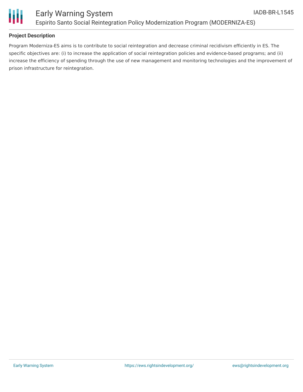

# Ш

### **Project Description**

Program Moderniza-ES aims is to contribute to social reintegration and decrease criminal recidivism efficiently in ES. The specific objectives are: (i) to increase the application of social reintegration policies and evidence-based programs; and (ii) increase the efficiency of spending through the use of new management and monitoring technologies and the improvement of prison infrastructure for reintegration.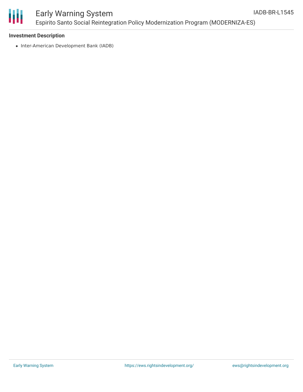

## Early Warning System Espirito Santo Social Reintegration Policy Modernization Program (MODERNIZA-ES)

#### **Investment Description**

• Inter-American Development Bank (IADB)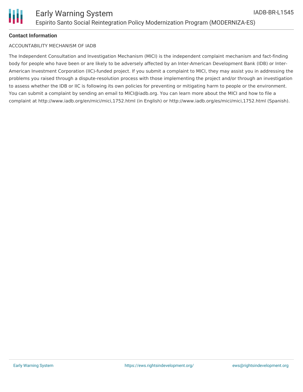## ACCOUNTABILITY MECHANISM OF IADB

The Independent Consultation and Investigation Mechanism (MICI) is the independent complaint mechanism and fact-finding body for people who have been or are likely to be adversely affected by an Inter-American Development Bank (IDB) or Inter-American Investment Corporation (IIC)-funded project. If you submit a complaint to MICI, they may assist you in addressing the problems you raised through a dispute-resolution process with those implementing the project and/or through an investigation to assess whether the IDB or IIC is following its own policies for preventing or mitigating harm to people or the environment. You can submit a complaint by sending an email to MICI@iadb.org. You can learn more about the MICI and how to file a complaint at http://www.iadb.org/en/mici/mici,1752.html (in English) or http://www.iadb.org/es/mici/mici,1752.html (Spanish).